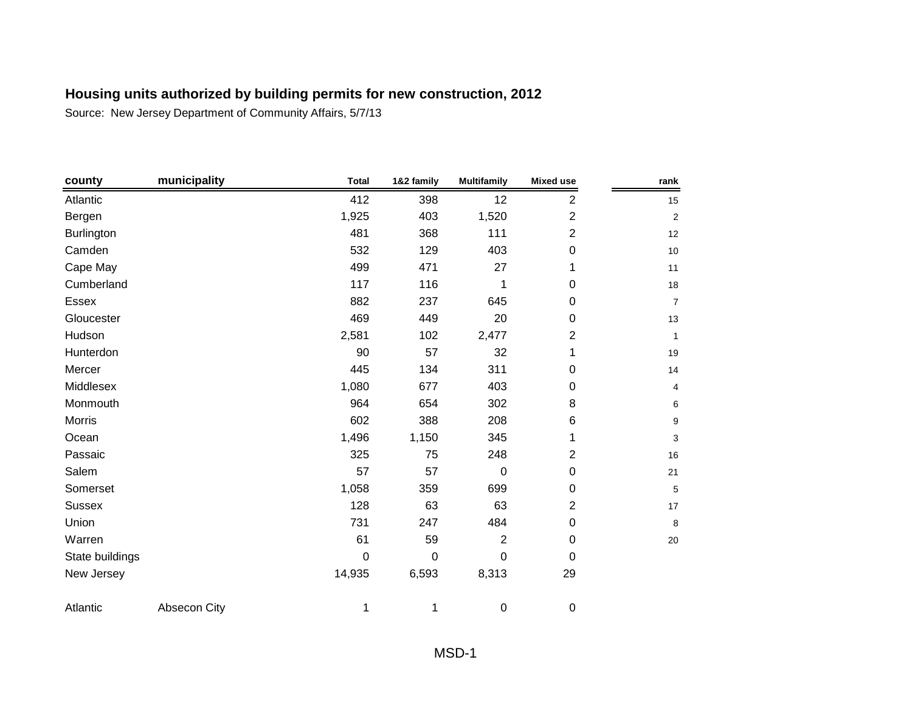| county          | municipality | <b>Total</b> | 1&2 family | <b>Multifamily</b> | <b>Mixed use</b> | rank           |
|-----------------|--------------|--------------|------------|--------------------|------------------|----------------|
| Atlantic        |              | 412          | 398        | 12                 | 2                | 15             |
| Bergen          |              | 1,925        | 403        | 1,520              | $\overline{2}$   | $\overline{c}$ |
| Burlington      |              | 481          | 368        | 111                | $\overline{2}$   | 12             |
| Camden          |              | 532          | 129        | 403                | 0                | 10             |
| Cape May        |              | 499          | 471        | 27                 | 1                | 11             |
| Cumberland      |              | 117          | 116        | 1                  | 0                | 18             |
| Essex           |              | 882          | 237        | 645                | 0                | $\overline{7}$ |
| Gloucester      |              | 469          | 449        | 20                 | 0                | 13             |
| Hudson          |              | 2,581        | 102        | 2,477              | $\overline{2}$   | 1              |
| Hunterdon       |              | 90           | 57         | 32                 | 1                | 19             |
| Mercer          |              | 445          | 134        | 311                | 0                | 14             |
| Middlesex       |              | 1,080        | 677        | 403                | 0                | 4              |
| Monmouth        |              | 964          | 654        | 302                | 8                | 6              |
| Morris          |              | 602          | 388        | 208                | 6                | 9              |
| Ocean           |              | 1,496        | 1,150      | 345                | 1                | 3              |
| Passaic         |              | 325          | 75         | 248                | $\overline{2}$   | 16             |
| Salem           |              | 57           | 57         | 0                  | 0                | 21             |
| Somerset        |              | 1,058        | 359        | 699                | 0                | 5              |
| <b>Sussex</b>   |              | 128          | 63         | 63                 | $\overline{2}$   | 17             |
| Union           |              | 731          | 247        | 484                | 0                | 8              |
| Warren          |              | 61           | 59         | $\overline{2}$     | 0                | 20             |
| State buildings |              | $\mathbf 0$  | 0          | 0                  | $\mathbf 0$      |                |
| New Jersey      |              | 14,935       | 6,593      | 8,313              | 29               |                |
| Atlantic        | Absecon City | 1            | 1          | 0                  | $\pmb{0}$        |                |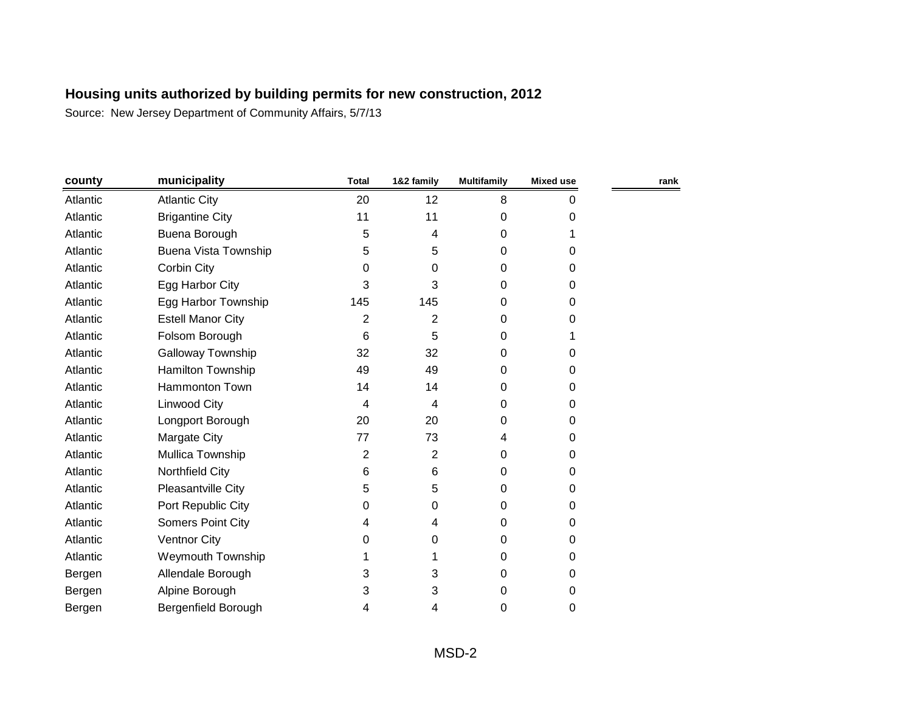| county   | municipality                | <b>Total</b>   | 1&2 family | <b>Multifamily</b> | <b>Mixed use</b> | rank |
|----------|-----------------------------|----------------|------------|--------------------|------------------|------|
| Atlantic | <b>Atlantic City</b>        | 20             | 12         | 8                  | 0                |      |
| Atlantic | <b>Brigantine City</b>      | 11             | 11         | 0                  | 0                |      |
| Atlantic | Buena Borough               | 5              | 4          | 0                  |                  |      |
| Atlantic | <b>Buena Vista Township</b> | 5              | 5          | 0                  | 0                |      |
| Atlantic | Corbin City                 | 0              | 0          | 0                  | 0                |      |
| Atlantic | Egg Harbor City             | 3              | 3          | 0                  | 0                |      |
| Atlantic | Egg Harbor Township         | 145            | 145        | 0                  | 0                |      |
| Atlantic | <b>Estell Manor City</b>    | 2              | 2          | 0                  | 0                |      |
| Atlantic | Folsom Borough              | 6              | 5          | 0                  |                  |      |
| Atlantic | Galloway Township           | 32             | 32         | 0                  | 0                |      |
| Atlantic | Hamilton Township           | 49             | 49         | 0                  | 0                |      |
| Atlantic | Hammonton Town              | 14             | 14         | 0                  | 0                |      |
| Atlantic | Linwood City                | 4              | 4          | 0                  | 0                |      |
| Atlantic | Longport Borough            | 20             | 20         | 0                  | 0                |      |
| Atlantic | Margate City                | 77             | 73         | 4                  | $\Omega$         |      |
| Atlantic | Mullica Township            | $\overline{2}$ | 2          | 0                  | $\Omega$         |      |
| Atlantic | Northfield City             | 6              | 6          | 0                  | 0                |      |
| Atlantic | Pleasantville City          | 5              | 5          | 0                  | 0                |      |
| Atlantic | Port Republic City          | 0              | 0          | 0                  | 0                |      |
| Atlantic | <b>Somers Point City</b>    | 4              | 4          | 0                  | 0                |      |
| Atlantic | <b>Ventnor City</b>         | 0              | 0          | 0                  | 0                |      |
| Atlantic | Weymouth Township           |                |            | 0                  | $\Omega$         |      |
| Bergen   | Allendale Borough           | 3              | 3          | 0                  | 0                |      |
| Bergen   | Alpine Borough              | 3              | 3          | 0                  | 0                |      |
| Bergen   | Bergenfield Borough         | 4              | 4          | 0                  | 0                |      |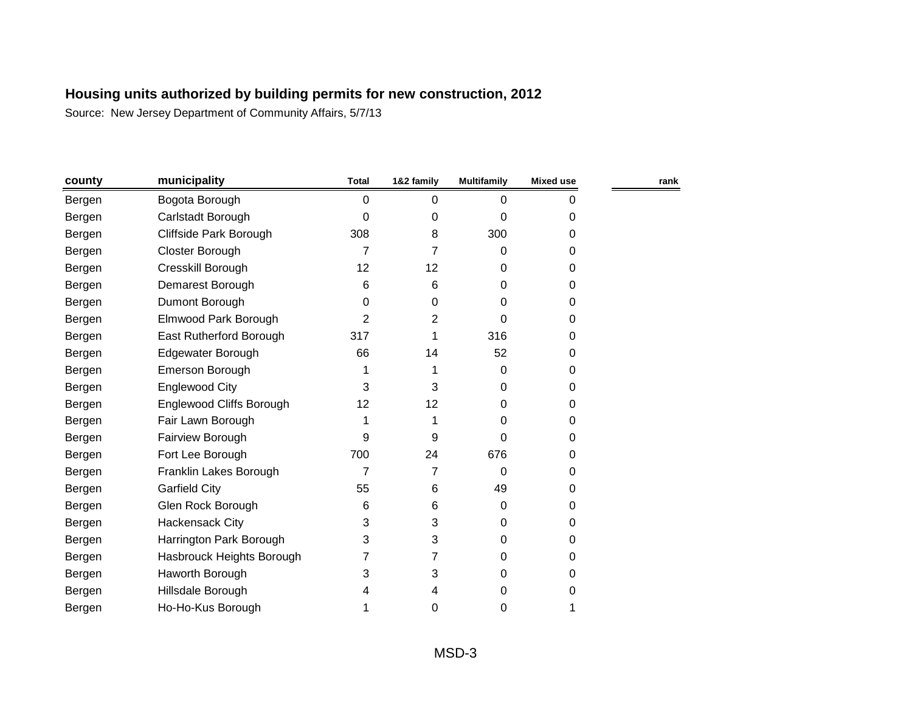| municipality                    | <b>Total</b>   | 1&2 family     | <b>Multifamily</b> | <b>Mixed use</b> | rank |
|---------------------------------|----------------|----------------|--------------------|------------------|------|
| Bogota Borough                  | 0              | 0              | 0                  | 0                |      |
| Carlstadt Borough               | 0              | 0              | 0                  | 0                |      |
| Cliffside Park Borough          | 308            | 8              | 300                | 0                |      |
| Closter Borough                 | $\overline{7}$ | $\overline{7}$ | 0                  | $\Omega$         |      |
| Cresskill Borough               | 12             | 12             | 0                  | 0                |      |
| Demarest Borough                | 6              | 6              | 0                  | 0                |      |
| Dumont Borough                  | 0              | 0              | 0                  | $\Omega$         |      |
| Elmwood Park Borough            | 2              | 2              | 0                  | 0                |      |
| East Rutherford Borough         | 317            | 1              | 316                | 0                |      |
| Edgewater Borough               | 66             | 14             | 52                 | 0                |      |
| Emerson Borough                 | 1              |                | 0                  | $\Omega$         |      |
| Englewood City                  | 3              | 3              | 0                  | 0                |      |
| <b>Englewood Cliffs Borough</b> | 12             | 12             | 0                  | 0                |      |
| Fair Lawn Borough               | 1              |                | 0                  | $\Omega$         |      |
| Fairview Borough                | 9              | 9              | 0                  | 0                |      |
| Fort Lee Borough                | 700            | 24             | 676                | 0                |      |
| Franklin Lakes Borough          | $\overline{7}$ | 7              | 0                  | 0                |      |
| <b>Garfield City</b>            | 55             | 6              | 49                 | 0                |      |
| Glen Rock Borough               | 6              | 6              | 0                  | 0                |      |
| Hackensack City                 | 3              | 3              | 0                  | 0                |      |
| Harrington Park Borough         | 3              | 3              | 0                  | 0                |      |
| Hasbrouck Heights Borough       | 7              | 7              | 0                  | 0                |      |
| Haworth Borough                 | 3              | 3              | 0                  | 0                |      |
| Hillsdale Borough               | 4              | 4              | 0                  | 0                |      |
| Ho-Ho-Kus Borough               |                | 0              | 0                  | 1                |      |
|                                 |                |                |                    |                  |      |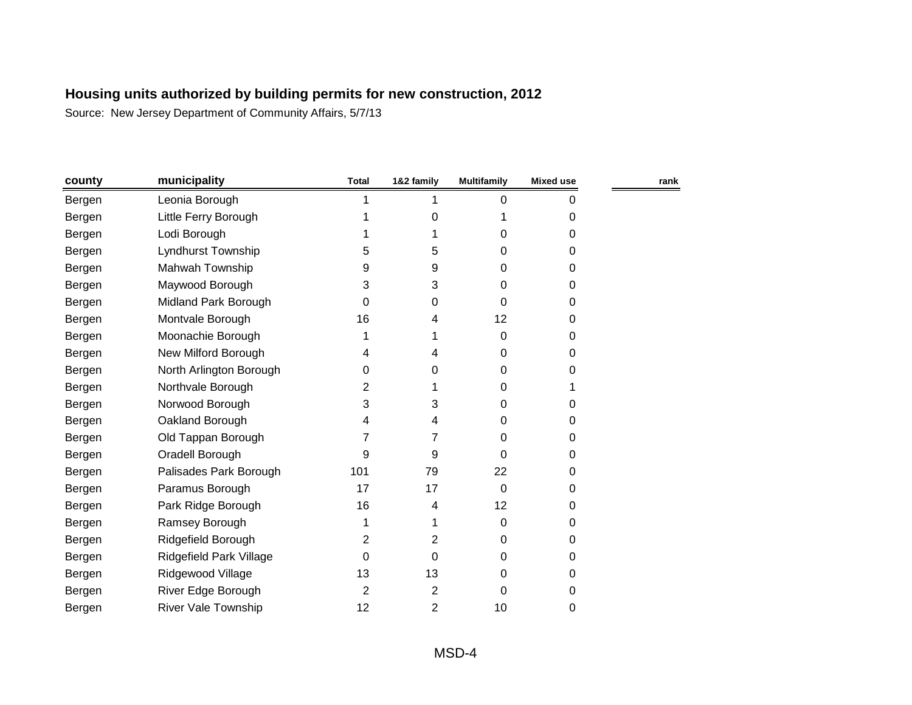| county | municipality               | <b>Total</b>   | 1&2 family     | <b>Multifamily</b> | <b>Mixed use</b> | rank |
|--------|----------------------------|----------------|----------------|--------------------|------------------|------|
| Bergen | Leonia Borough             |                |                | 0                  | 0                |      |
| Bergen | Little Ferry Borough       |                | 0              |                    | 0                |      |
| Bergen | Lodi Borough               |                |                | 0                  | 0                |      |
| Bergen | Lyndhurst Township         | 5              | 5              | $\Omega$           | 0                |      |
| Bergen | Mahwah Township            | 9              | 9              | 0                  | 0                |      |
| Bergen | Maywood Borough            | 3              | 3              | $\Omega$           | 0                |      |
| Bergen | Midland Park Borough       | 0              | 0              | $\Omega$           | 0                |      |
| Bergen | Montvale Borough           | 16             | 4              | 12                 | 0                |      |
| Bergen | Moonachie Borough          | 1              |                | 0                  | 0                |      |
| Bergen | New Milford Borough        | 4              | 4              | $\Omega$           | 0                |      |
| Bergen | North Arlington Borough    | 0              | 0              | $\Omega$           | 0                |      |
| Bergen | Northvale Borough          | 2              |                | 0                  |                  |      |
| Bergen | Norwood Borough            | 3              | 3              | 0                  | 0                |      |
| Bergen | Oakland Borough            | 4              | 4              | $\Omega$           | 0                |      |
| Bergen | Old Tappan Borough         | 7              | 7              | 0                  | 0                |      |
| Bergen | Oradell Borough            | 9              | 9              | 0                  | 0                |      |
| Bergen | Palisades Park Borough     | 101            | 79             | 22                 | 0                |      |
| Bergen | Paramus Borough            | 17             | 17             | 0                  | 0                |      |
| Bergen | Park Ridge Borough         | 16             | 4              | 12                 | 0                |      |
| Bergen | Ramsey Borough             | 1              |                | 0                  | 0                |      |
| Bergen | Ridgefield Borough         | 2              | 2              | 0                  | 0                |      |
| Bergen | Ridgefield Park Village    | 0              | 0              | $\Omega$           | 0                |      |
| Bergen | Ridgewood Village          | 13             | 13             | 0                  | 0                |      |
| Bergen | River Edge Borough         | $\overline{2}$ | 2              | 0                  | 0                |      |
| Bergen | <b>River Vale Township</b> | 12             | $\overline{2}$ | 10                 | 0                |      |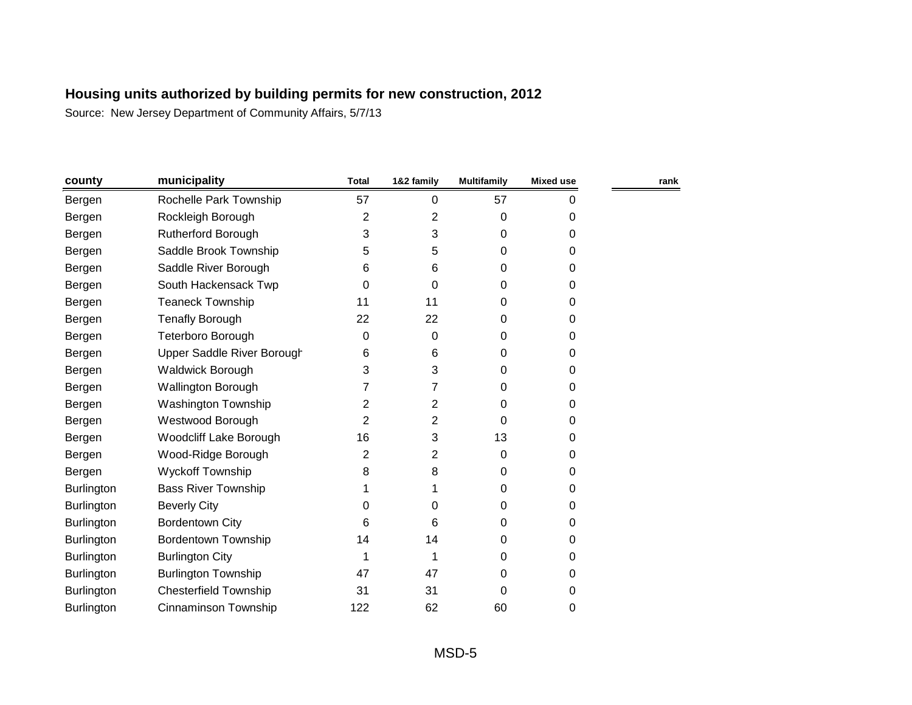| county            | municipality                 | <b>Total</b> | 1&2 family | <b>Multifamily</b> | <b>Mixed use</b> | rank |
|-------------------|------------------------------|--------------|------------|--------------------|------------------|------|
| Bergen            | Rochelle Park Township       | 57           | 0          | 57                 | 0                |      |
| Bergen            | Rockleigh Borough            | 2            | 2          | 0                  | 0                |      |
| Bergen            | Rutherford Borough           | 3            | 3          | 0                  | 0                |      |
| Bergen            | Saddle Brook Township        | 5            | 5          | $\Omega$           | 0                |      |
| Bergen            | Saddle River Borough         | 6            | 6          | 0                  | 0                |      |
| Bergen            | South Hackensack Twp         | 0            | 0          | 0                  | 0                |      |
| Bergen            | <b>Teaneck Township</b>      | 11           | 11         | 0                  | 0                |      |
| Bergen            | <b>Tenafly Borough</b>       | 22           | 22         | 0                  | 0                |      |
| Bergen            | Teterboro Borough            | 0            | 0          | 0                  | 0                |      |
| Bergen            | Upper Saddle River Borough   | 6            | 6          | 0                  | 0                |      |
| Bergen            | <b>Waldwick Borough</b>      | 3            | 3          | 0                  | 0                |      |
| Bergen            | Wallington Borough           |              | 7          | 0                  | 0                |      |
| Bergen            | <b>Washington Township</b>   | 2            | 2          | 0                  | 0                |      |
| Bergen            | Westwood Borough             | 2            | 2          | 0                  | 0                |      |
| Bergen            | Woodcliff Lake Borough       | 16           | 3          | 13                 | 0                |      |
| Bergen            | Wood-Ridge Borough           | 2            | 2          | 0                  | 0                |      |
| Bergen            | <b>Wyckoff Township</b>      | 8            | 8          | 0                  | 0                |      |
| <b>Burlington</b> | <b>Bass River Township</b>   |              | 1          | 0                  | 0                |      |
| <b>Burlington</b> | <b>Beverly City</b>          | 0            | 0          | 0                  | 0                |      |
| <b>Burlington</b> | <b>Bordentown City</b>       | 6            | 6          | 0                  | 0                |      |
| Burlington        | <b>Bordentown Township</b>   | 14           | 14         | 0                  | 0                |      |
| Burlington        | <b>Burlington City</b>       | 1            | 1          | 0                  | 0                |      |
| <b>Burlington</b> | <b>Burlington Township</b>   | 47           | 47         | 0                  | 0                |      |
| Burlington        | <b>Chesterfield Township</b> | 31           | 31         | 0                  | 0                |      |
| <b>Burlington</b> | Cinnaminson Township         | 122          | 62         | 60                 | 0                |      |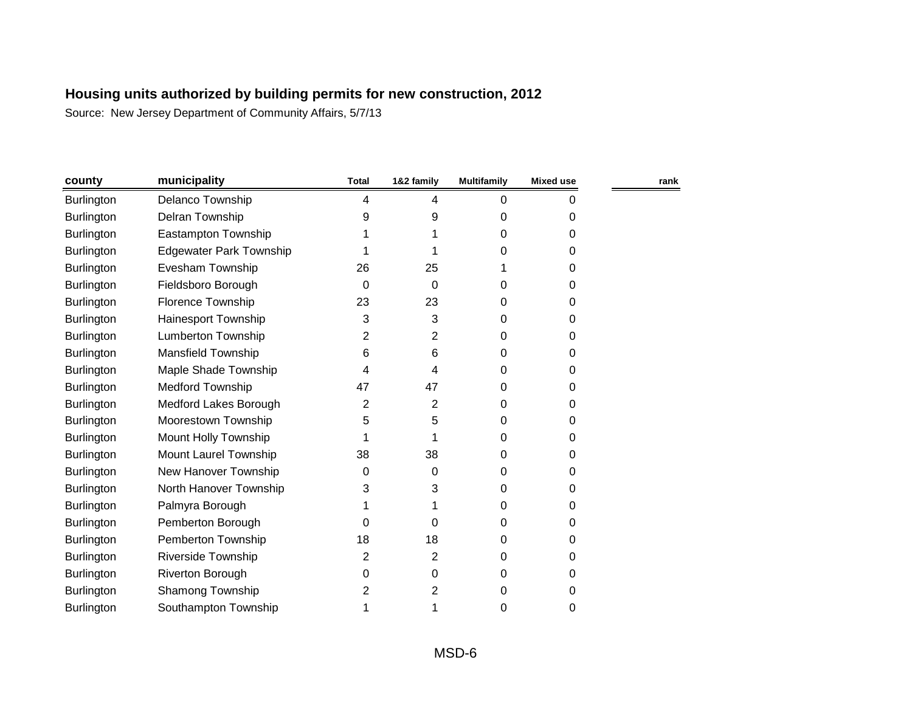| county            | municipality                   | <b>Total</b> | 1&2 family     | <b>Multifamily</b> | <b>Mixed use</b> | rank |
|-------------------|--------------------------------|--------------|----------------|--------------------|------------------|------|
| Burlington        | Delanco Township               | 4            | 4              | 0                  | 0                |      |
| Burlington        | Delran Township                | 9            | 9              | 0                  | 0                |      |
| Burlington        | Eastampton Township            |              |                | 0                  | 0                |      |
| <b>Burlington</b> | <b>Edgewater Park Township</b> |              |                | 0                  | 0                |      |
| Burlington        | Evesham Township               | 26           | 25             | 1                  | 0                |      |
| Burlington        | Fieldsboro Borough             | 0            | 0              | 0                  | 0                |      |
| <b>Burlington</b> | Florence Township              | 23           | 23             | 0                  | 0                |      |
| Burlington        | Hainesport Township            | 3            | 3              | 0                  | 0                |      |
| Burlington        | Lumberton Township             | 2            | 2              | 0                  | 0                |      |
| Burlington        | <b>Mansfield Township</b>      | 6            | 6              | 0                  | 0                |      |
| <b>Burlington</b> | Maple Shade Township           | 4            | 4              | 0                  | 0                |      |
| Burlington        | <b>Medford Township</b>        | 47           | 47             | 0                  | 0                |      |
| Burlington        | Medford Lakes Borough          | 2            | $\overline{2}$ | 0                  | 0                |      |
| <b>Burlington</b> | Moorestown Township            | 5            | 5              | 0                  | 0                |      |
| Burlington        | Mount Holly Township           |              |                | 0                  | 0                |      |
| <b>Burlington</b> | Mount Laurel Township          | 38           | 38             | 0                  | 0                |      |
| Burlington        | New Hanover Township           | 0            | 0              | 0                  | 0                |      |
| <b>Burlington</b> | North Hanover Township         | 3            | 3              | 0                  | 0                |      |
| Burlington        | Palmyra Borough                |              |                | 0                  | 0                |      |
| Burlington        | Pemberton Borough              | 0            | 0              | 0                  | 0                |      |
| <b>Burlington</b> | Pemberton Township             | 18           | 18             | 0                  | 0                |      |
| Burlington        | <b>Riverside Township</b>      | 2            | 2              | 0                  | 0                |      |
| <b>Burlington</b> | <b>Riverton Borough</b>        | 0            | 0              | 0                  | 0                |      |
| Burlington        | Shamong Township               | 2            | 2              | 0                  | 0                |      |
| Burlington        | Southampton Township           |              |                | 0                  | 0                |      |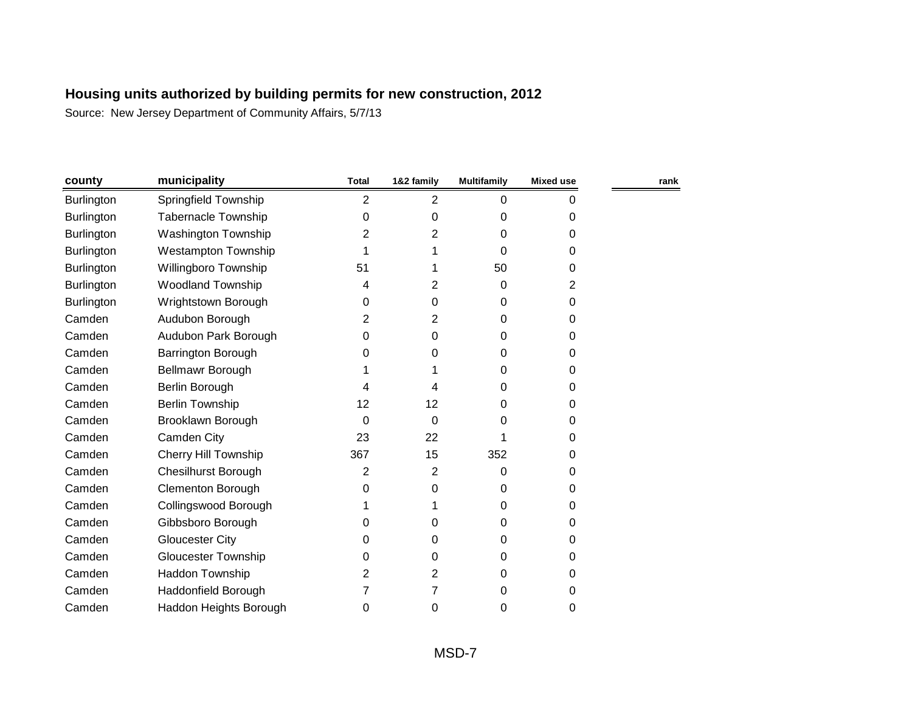| county            | municipality               | <b>Total</b>   | 1&2 family | <b>Multifamily</b> | <b>Mixed use</b> | rank |
|-------------------|----------------------------|----------------|------------|--------------------|------------------|------|
| Burlington        | Springfield Township       | $\overline{2}$ | 2          | 0                  | 0                |      |
| <b>Burlington</b> | <b>Tabernacle Township</b> | 0              | $\Omega$   | 0                  | 0                |      |
| <b>Burlington</b> | <b>Washington Township</b> | 2              | 2          | 0                  | 0                |      |
| <b>Burlington</b> | <b>Westampton Township</b> |                |            | $\Omega$           | 0                |      |
| <b>Burlington</b> | Willingboro Township       | 51             |            | 50                 | 0                |      |
| <b>Burlington</b> | <b>Woodland Township</b>   | 4              | 2          | 0                  | 2                |      |
| Burlington        | Wrightstown Borough        | 0              | 0          | 0                  | 0                |      |
| Camden            | Audubon Borough            | 2              | 2          | 0                  | 0                |      |
| Camden            | Audubon Park Borough       | 0              | 0          | 0                  | 0                |      |
| Camden            | <b>Barrington Borough</b>  | 0              | 0          | 0                  | 0                |      |
| Camden            | Bellmawr Borough           |                |            | 0                  | 0                |      |
| Camden            | Berlin Borough             | 4              | 4          | 0                  | 0                |      |
| Camden            | <b>Berlin Township</b>     | 12             | 12         | 0                  | 0                |      |
| Camden            | Brooklawn Borough          | 0              | 0          | 0                  | 0                |      |
| Camden            | Camden City                | 23             | 22         |                    | 0                |      |
| Camden            | Cherry Hill Township       | 367            | 15         | 352                | 0                |      |
| Camden            | <b>Chesilhurst Borough</b> | $\overline{2}$ | 2          | 0                  | 0                |      |
| Camden            | <b>Clementon Borough</b>   | 0              | 0          | 0                  | 0                |      |
| Camden            | Collingswood Borough       |                |            | 0                  | 0                |      |
| Camden            | Gibbsboro Borough          | 0              | 0          | 0                  | 0                |      |
| Camden            | <b>Gloucester City</b>     | 0              | 0          | 0                  | 0                |      |
| Camden            | <b>Gloucester Township</b> | 0              | 0          | 0                  | 0                |      |
| Camden            | Haddon Township            | 2              | 2          | 0                  | 0                |      |
| Camden            | Haddonfield Borough        |                | 7          | 0                  | 0                |      |
| Camden            | Haddon Heights Borough     | 0              | 0          | 0                  | 0                |      |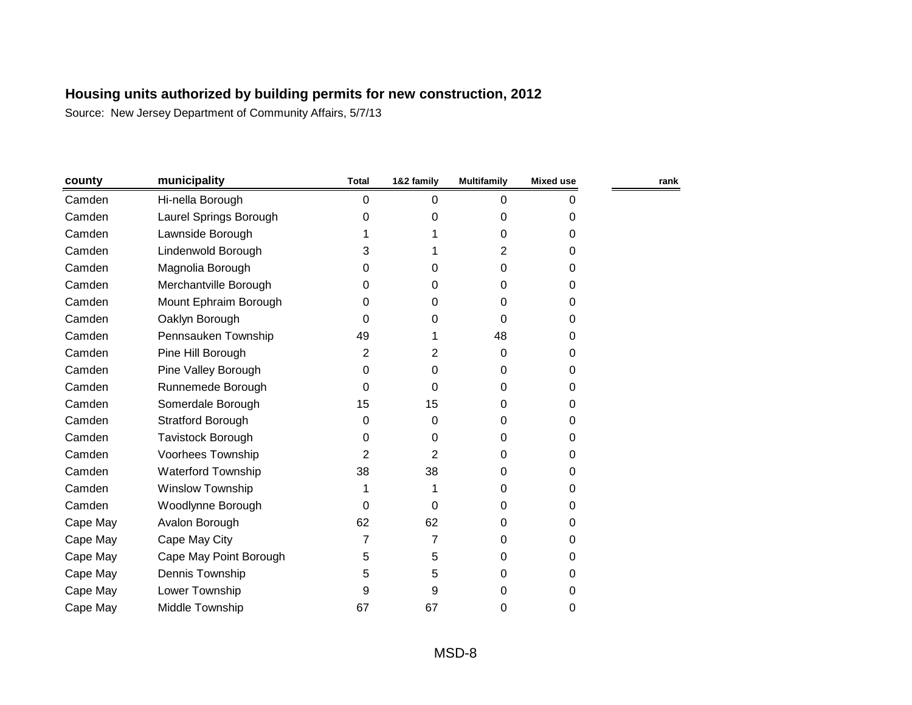| county   | municipality              | <b>Total</b> | 1&2 family | <b>Multifamily</b> | <b>Mixed use</b> | rank |
|----------|---------------------------|--------------|------------|--------------------|------------------|------|
| Camden   | Hi-nella Borough          | 0            | 0          | $\mathbf 0$        | 0                |      |
| Camden   | Laurel Springs Borough    | 0            | 0          | 0                  | 0                |      |
| Camden   | Lawnside Borough          |              |            | 0                  | 0                |      |
| Camden   | Lindenwold Borough        | 3            |            | $\overline{2}$     | 0                |      |
| Camden   | Magnolia Borough          | 0            | 0          | 0                  | 0                |      |
| Camden   | Merchantville Borough     | 0            | 0          | 0                  | 0                |      |
| Camden   | Mount Ephraim Borough     | 0            | 0          | 0                  | 0                |      |
| Camden   | Oaklyn Borough            | $\Omega$     | 0          | 0                  | 0                |      |
| Camden   | Pennsauken Township       | 49           |            | 48                 | 0                |      |
| Camden   | Pine Hill Borough         | 2            | 2          | 0                  | 0                |      |
| Camden   | Pine Valley Borough       | 0            | 0          | $\Omega$           | 0                |      |
| Camden   | Runnemede Borough         | 0            | 0          | 0                  | 0                |      |
| Camden   | Somerdale Borough         | 15           | 15         | 0                  | 0                |      |
| Camden   | <b>Stratford Borough</b>  | 0            | 0          | $\Omega$           | 0                |      |
| Camden   | <b>Tavistock Borough</b>  | 0            | 0          | $\Omega$           | 0                |      |
| Camden   | Voorhees Township         | 2            | 2          | 0                  | 0                |      |
| Camden   | <b>Waterford Township</b> | 38           | 38         | 0                  | 0                |      |
| Camden   | <b>Winslow Township</b>   |              |            | $\Omega$           | 0                |      |
| Camden   | Woodlynne Borough         | 0            | 0          | 0                  | 0                |      |
| Cape May | Avalon Borough            | 62           | 62         | $\Omega$           | 0                |      |
| Cape May | Cape May City             | 7            | 7          | 0                  | 0                |      |
| Cape May | Cape May Point Borough    | 5            | 5          | $\Omega$           | 0                |      |
| Cape May | Dennis Township           | 5            | 5          | 0                  | 0                |      |
| Cape May | Lower Township            | 9            | 9          | 0                  | 0                |      |
| Cape May | Middle Township           | 67           | 67         | 0                  | 0                |      |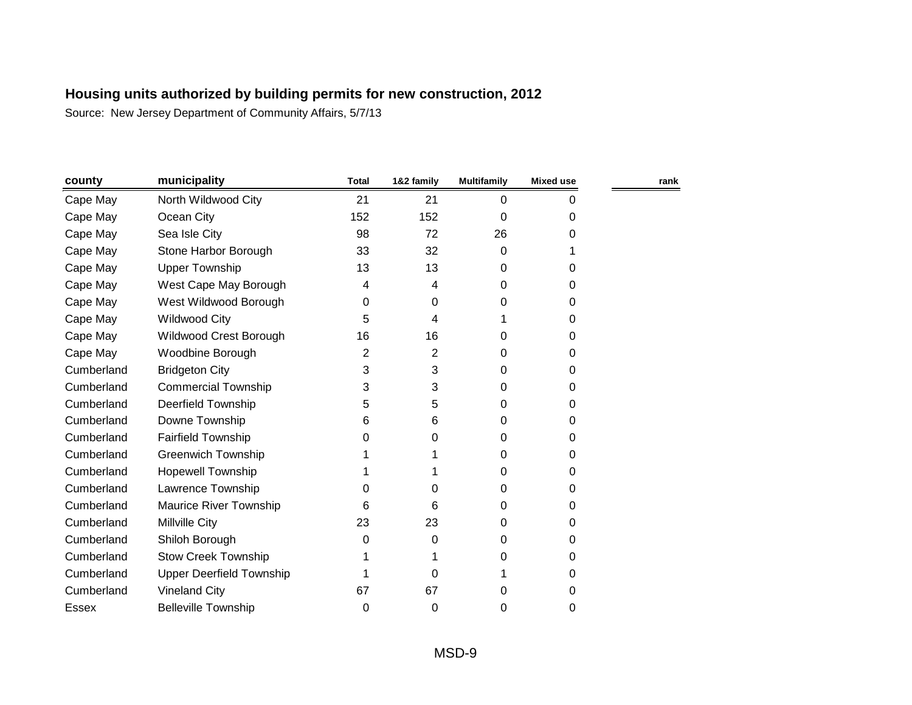| county     | municipality                    | <b>Total</b> | 1&2 family | <b>Multifamily</b> | <b>Mixed use</b> | rank |
|------------|---------------------------------|--------------|------------|--------------------|------------------|------|
| Cape May   | North Wildwood City             | 21           | 21         | 0                  | 0                |      |
| Cape May   | Ocean City                      | 152          | 152        | 0                  | 0                |      |
| Cape May   | Sea Isle City                   | 98           | 72         | 26                 | 0                |      |
| Cape May   | Stone Harbor Borough            | 33           | 32         | 0                  |                  |      |
| Cape May   | <b>Upper Township</b>           | 13           | 13         | 0                  | 0                |      |
| Cape May   | West Cape May Borough           | 4            | 4          | 0                  | 0                |      |
| Cape May   | West Wildwood Borough           | 0            | 0          | 0                  | 0                |      |
| Cape May   | <b>Wildwood City</b>            | 5            | 4          | 1                  | 0                |      |
| Cape May   | Wildwood Crest Borough          | 16           | 16         | 0                  | 0                |      |
| Cape May   | Woodbine Borough                | 2            | 2          | 0                  | 0                |      |
| Cumberland | <b>Bridgeton City</b>           | 3            | 3          | 0                  | 0                |      |
| Cumberland | <b>Commercial Township</b>      | 3            | 3          | 0                  | 0                |      |
| Cumberland | <b>Deerfield Township</b>       | 5            | 5          | 0                  | 0                |      |
| Cumberland | Downe Township                  | 6            | 6          | 0                  | 0                |      |
| Cumberland | <b>Fairfield Township</b>       | 0            | 0          | 0                  | 0                |      |
| Cumberland | <b>Greenwich Township</b>       |              |            | 0                  | 0                |      |
| Cumberland | <b>Hopewell Township</b>        |              |            | 0                  | 0                |      |
| Cumberland | Lawrence Township               | 0            | 0          | 0                  | 0                |      |
| Cumberland | Maurice River Township          | 6            | 6          | 0                  | 0                |      |
| Cumberland | Millville City                  | 23           | 23         | 0                  | 0                |      |
| Cumberland | Shiloh Borough                  | 0            | 0          | 0                  | 0                |      |
| Cumberland | <b>Stow Creek Township</b>      |              |            | 0                  | 0                |      |
| Cumberland | <b>Upper Deerfield Township</b> |              | 0          |                    | 0                |      |
| Cumberland | <b>Vineland City</b>            | 67           | 67         | 0                  | 0                |      |
| Essex      | <b>Belleville Township</b>      | 0            | 0          | 0                  | 0                |      |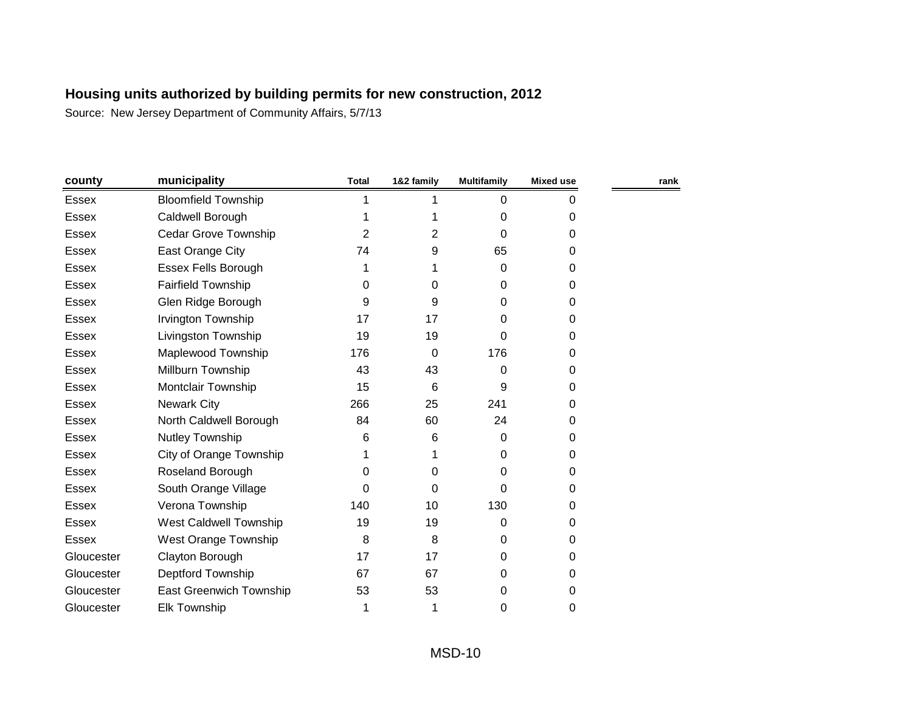| county       | municipality                   | <b>Total</b> | 1&2 family | <b>Multifamily</b> | <b>Mixed use</b> | rank |
|--------------|--------------------------------|--------------|------------|--------------------|------------------|------|
| Essex        | <b>Bloomfield Township</b>     |              |            | 0                  | 0                |      |
| <b>Essex</b> | Caldwell Borough               |              |            | 0                  | $\Omega$         |      |
| Essex        | Cedar Grove Township           | 2            | 2          | 0                  | $\Omega$         |      |
| Essex        | East Orange City               | 74           | 9          | 65                 | $\Omega$         |      |
| <b>Essex</b> | Essex Fells Borough            |              |            | 0                  | 0                |      |
| <b>Essex</b> | <b>Fairfield Township</b>      | 0            | 0          | 0                  | 0                |      |
| <b>Essex</b> | Glen Ridge Borough             | 9            | 9          | 0                  | 0                |      |
| <b>Essex</b> | Irvington Township             | 17           | 17         | 0                  | 0                |      |
| Essex        | Livingston Township            | 19           | 19         | 0                  | $\Omega$         |      |
| <b>Essex</b> | Maplewood Township             | 176          | 0          | 176                | 0                |      |
| Essex        | Millburn Township              | 43           | 43         | 0                  | $\Omega$         |      |
| Essex        | Montclair Township             | 15           | 6          | 9                  | $\Omega$         |      |
| Essex        | <b>Newark City</b>             | 266          | 25         | 241                | $\Omega$         |      |
| <b>Essex</b> | North Caldwell Borough         | 84           | 60         | 24                 | $\Omega$         |      |
| Essex        | Nutley Township                | 6            | 6          | 0                  | $\Omega$         |      |
| <b>Essex</b> | City of Orange Township        |              |            | 0                  | 0                |      |
| <b>Essex</b> | Roseland Borough               | 0            | 0          | 0                  | 0                |      |
| <b>Essex</b> | South Orange Village           | 0            | 0          | 0                  | $\Omega$         |      |
| Essex        | Verona Township                | 140          | 10         | 130                | 0                |      |
| Essex        | West Caldwell Township         | 19           | 19         | 0                  | $\Omega$         |      |
| <b>Essex</b> | West Orange Township           | 8            | 8          | 0                  | $\Omega$         |      |
| Gloucester   | Clayton Borough                | 17           | 17         | 0                  | $\Omega$         |      |
| Gloucester   | Deptford Township              | 67           | 67         | 0                  | $\Omega$         |      |
| Gloucester   | <b>East Greenwich Township</b> | 53           | 53         | 0                  | 0                |      |
| Gloucester   | <b>Elk Township</b>            | 1            |            | 0                  | 0                |      |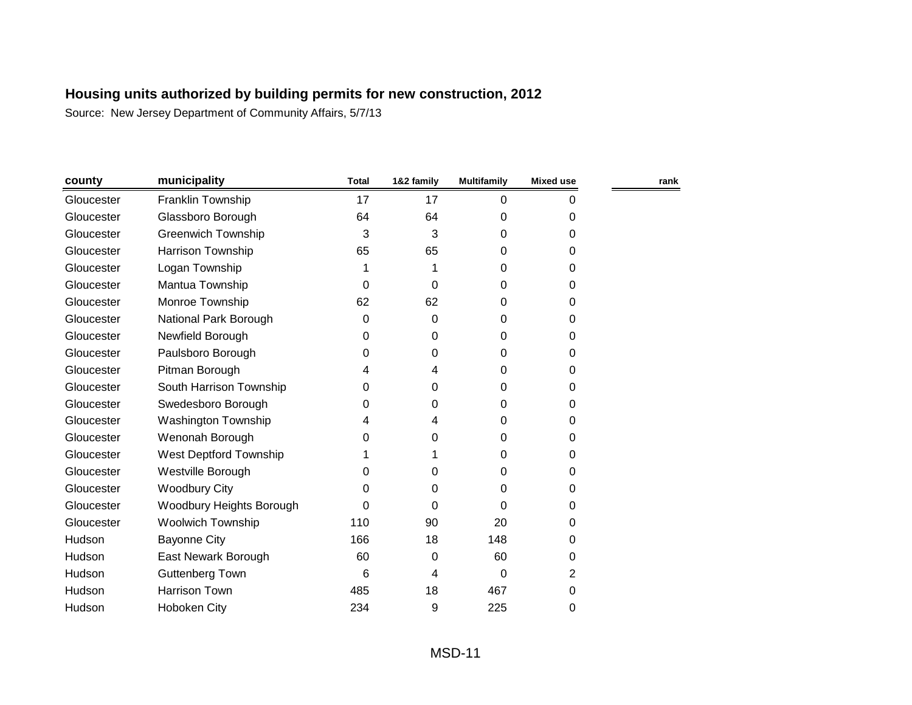| county     | municipality               | <b>Total</b> | 1&2 family | <b>Multifamily</b> | <b>Mixed use</b> | rank |
|------------|----------------------------|--------------|------------|--------------------|------------------|------|
| Gloucester | Franklin Township          | 17           | 17         | 0                  | $\Omega$         |      |
| Gloucester | Glassboro Borough          | 64           | 64         | 0                  | 0                |      |
| Gloucester | <b>Greenwich Township</b>  | 3            | 3          | 0                  | $\Omega$         |      |
| Gloucester | Harrison Township          | 65           | 65         | 0                  | $\Omega$         |      |
| Gloucester | Logan Township             |              |            | 0                  | 0                |      |
| Gloucester | Mantua Township            | 0            | 0          | 0                  | 0                |      |
| Gloucester | Monroe Township            | 62           | 62         | 0                  | 0                |      |
| Gloucester | National Park Borough      | 0            | 0          | 0                  | 0                |      |
| Gloucester | Newfield Borough           | 0            | 0          | 0                  | 0                |      |
| Gloucester | Paulsboro Borough          | 0            | 0          | 0                  | 0                |      |
| Gloucester | Pitman Borough             | 4            | 4          | 0                  | $\Omega$         |      |
| Gloucester | South Harrison Township    | 0            | 0          | 0                  | 0                |      |
| Gloucester | Swedesboro Borough         | 0            | 0          | 0                  | 0                |      |
| Gloucester | <b>Washington Township</b> | 4            | 4          | 0                  | 0                |      |
| Gloucester | Wenonah Borough            | 0            | 0          | 0                  | $\Omega$         |      |
| Gloucester | West Deptford Township     |              | 1          | 0                  | 0                |      |
| Gloucester | Westville Borough          | 0            | 0          | 0                  | 0                |      |
| Gloucester | <b>Woodbury City</b>       | 0            | 0          | 0                  | 0                |      |
| Gloucester | Woodbury Heights Borough   | 0            | 0          | 0                  | $\Omega$         |      |
| Gloucester | Woolwich Township          | 110          | 90         | 20                 | 0                |      |
| Hudson     | <b>Bayonne City</b>        | 166          | 18         | 148                | 0                |      |
| Hudson     | East Newark Borough        | 60           | 0          | 60                 | 0                |      |
| Hudson     | Guttenberg Town            | 6            | 4          | $\mathbf 0$        | 2                |      |
| Hudson     | Harrison Town              | 485          | 18         | 467                | 0                |      |
| Hudson     | <b>Hoboken City</b>        | 234          | 9          | 225                | 0                |      |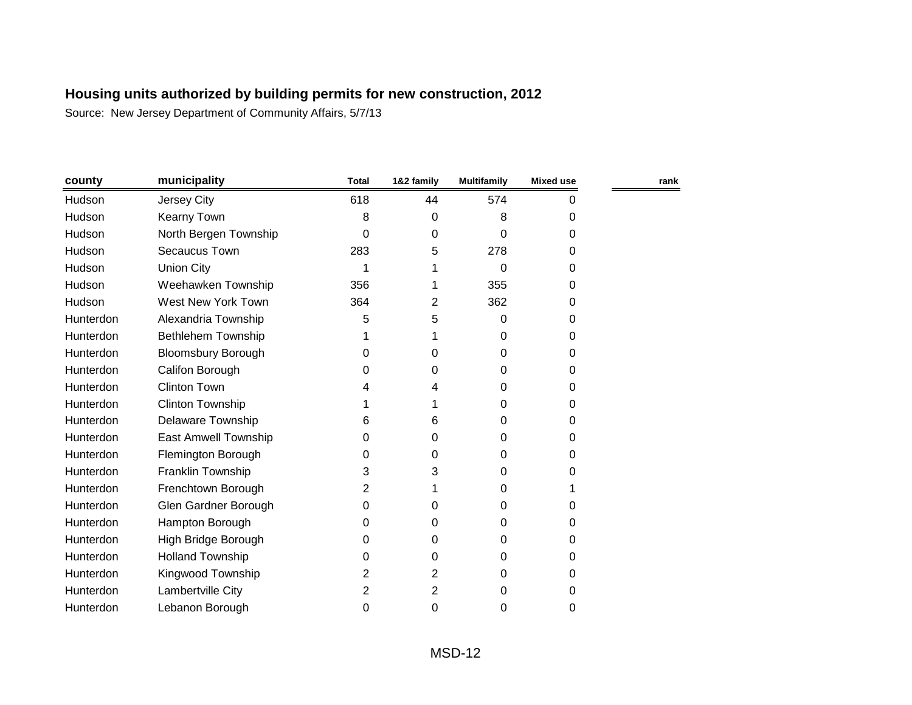| county    | municipality                | <b>Total</b> | 1&2 family     | <b>Multifamily</b> | <b>Mixed use</b> | rank |
|-----------|-----------------------------|--------------|----------------|--------------------|------------------|------|
| Hudson    | Jersey City                 | 618          | 44             | 574                | 0                |      |
| Hudson    | Kearny Town                 | 8            | 0              | 8                  | 0                |      |
| Hudson    | North Bergen Township       | $\Omega$     | 0              | 0                  | $\Omega$         |      |
| Hudson    | Secaucus Town               | 283          | 5              | 278                | 0                |      |
| Hudson    | <b>Union City</b>           | 1            |                | 0                  | 0                |      |
| Hudson    | Weehawken Township          | 356          | 1              | 355                | 0                |      |
| Hudson    | West New York Town          | 364          | 2              | 362                | 0                |      |
| Hunterdon | Alexandria Township         | 5            | 5              | 0                  | 0                |      |
| Hunterdon | Bethlehem Township          |              | 1              | 0                  | 0                |      |
| Hunterdon | <b>Bloomsbury Borough</b>   | 0            | 0              | 0                  | 0                |      |
| Hunterdon | Califon Borough             | 0            | 0              | 0                  | 0                |      |
| Hunterdon | <b>Clinton Town</b>         | 4            | 4              | 0                  | 0                |      |
| Hunterdon | <b>Clinton Township</b>     |              | 1              | 0                  | 0                |      |
| Hunterdon | <b>Delaware Township</b>    | 6            | 6              | 0                  | 0                |      |
| Hunterdon | <b>East Amwell Township</b> | 0            | 0              | 0                  | 0                |      |
| Hunterdon | Flemington Borough          | 0            | 0              | 0                  | 0                |      |
| Hunterdon | Franklin Township           | 3            | 3              | 0                  | 0                |      |
| Hunterdon | Frenchtown Borough          | 2            | 1              | 0                  |                  |      |
| Hunterdon | Glen Gardner Borough        | 0            | 0              | 0                  | 0                |      |
| Hunterdon | Hampton Borough             | 0            | 0              | 0                  | 0                |      |
| Hunterdon | High Bridge Borough         | 0            | 0              | 0                  | 0                |      |
| Hunterdon | <b>Holland Township</b>     | 0            | 0              | 0                  | 0                |      |
| Hunterdon | Kingwood Township           | 2            | 2              | 0                  | 0                |      |
| Hunterdon | Lambertville City           | 2            | $\overline{2}$ | 0                  | 0                |      |
| Hunterdon | Lebanon Borough             | 0            | 0              | 0                  | 0                |      |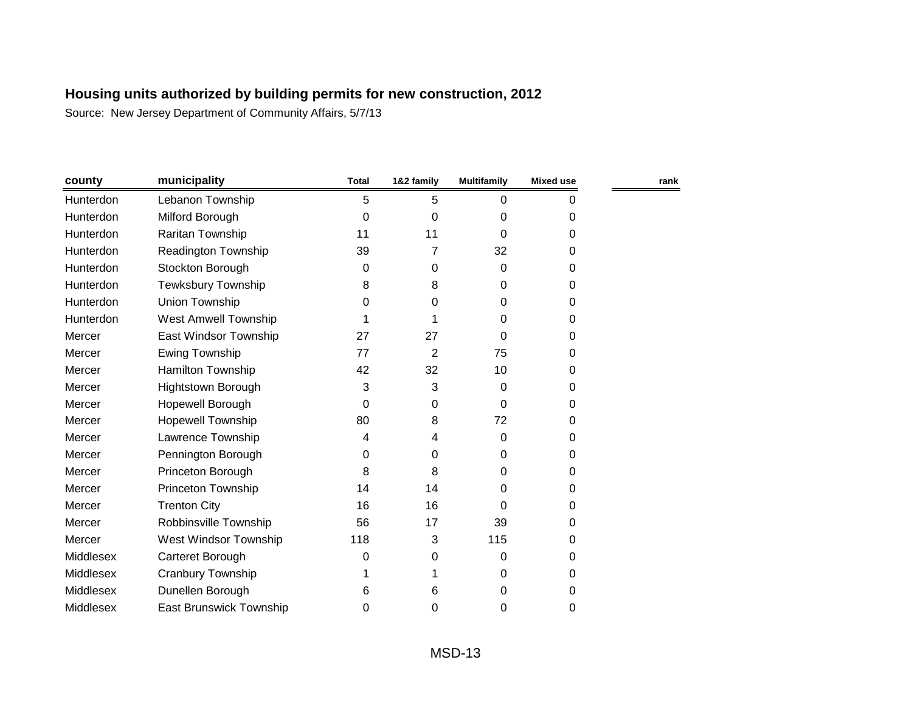| county    | municipality                   | <b>Total</b> | 1&2 family | <b>Multifamily</b> | <b>Mixed use</b> | rank |
|-----------|--------------------------------|--------------|------------|--------------------|------------------|------|
| Hunterdon | Lebanon Township               | 5            | 5          | 0                  | 0                |      |
| Hunterdon | Milford Borough                | $\Omega$     | 0          | 0                  | 0                |      |
| Hunterdon | Raritan Township               | 11           | 11         | 0                  | 0                |      |
| Hunterdon | Readington Township            | 39           | 7          | 32                 | 0                |      |
| Hunterdon | Stockton Borough               | 0            | 0          | 0                  | 0                |      |
| Hunterdon | Tewksbury Township             | 8            | 8          | 0                  | 0                |      |
| Hunterdon | Union Township                 | 0            | 0          | 0                  | 0                |      |
| Hunterdon | West Amwell Township           |              |            | 0                  | 0                |      |
| Mercer    | East Windsor Township          | 27           | 27         | 0                  | 0                |      |
| Mercer    | <b>Ewing Township</b>          | 77           | 2          | 75                 | 0                |      |
| Mercer    | Hamilton Township              | 42           | 32         | 10                 | 0                |      |
| Mercer    | Hightstown Borough             | 3            | 3          | 0                  | 0                |      |
| Mercer    | Hopewell Borough               | 0            | 0          | $\Omega$           | 0                |      |
| Mercer    | <b>Hopewell Township</b>       | 80           | 8          | 72                 | 0                |      |
| Mercer    | Lawrence Township              | 4            | 4          | 0                  | $\mathbf 0$      |      |
| Mercer    | Pennington Borough             | 0            | 0          | 0                  | 0                |      |
| Mercer    | Princeton Borough              | 8            | 8          | 0                  | 0                |      |
| Mercer    | Princeton Township             | 14           | 14         | 0                  | 0                |      |
| Mercer    | <b>Trenton City</b>            | 16           | 16         | 0                  | 0                |      |
| Mercer    | Robbinsville Township          | 56           | 17         | 39                 | 0                |      |
| Mercer    | West Windsor Township          | 118          | 3          | 115                | 0                |      |
| Middlesex | Carteret Borough               | $\Omega$     | 0          | 0                  | 0                |      |
| Middlesex | Cranbury Township              |              |            | 0                  | 0                |      |
| Middlesex | Dunellen Borough               | 6            | 6          | 0                  | 0                |      |
| Middlesex | <b>East Brunswick Township</b> | 0            | 0          | 0                  | 0                |      |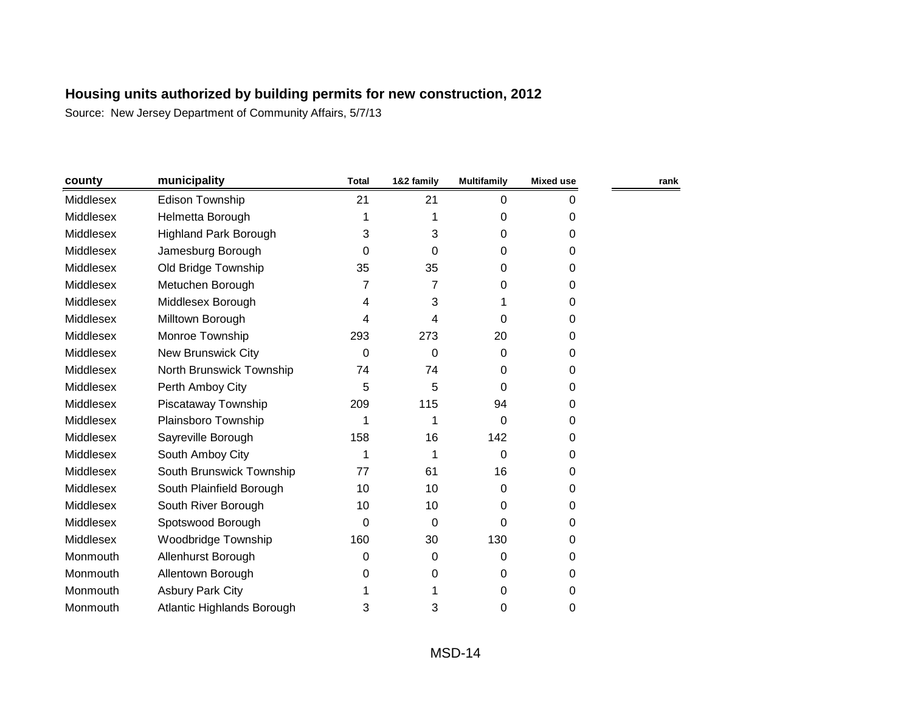| county    | municipality                 | <b>Total</b> | 1&2 family | <b>Multifamily</b> | <b>Mixed use</b> | rank |
|-----------|------------------------------|--------------|------------|--------------------|------------------|------|
| Middlesex | <b>Edison Township</b>       | 21           | 21         | 0                  | 0                |      |
| Middlesex | Helmetta Borough             |              | 1          | 0                  | 0                |      |
| Middlesex | <b>Highland Park Borough</b> | 3            | 3          | 0                  | 0                |      |
| Middlesex | Jamesburg Borough            | 0            | 0          | 0                  | 0                |      |
| Middlesex | Old Bridge Township          | 35           | 35         | 0                  | $\Omega$         |      |
| Middlesex | Metuchen Borough             | 7            | 7          | 0                  | 0                |      |
| Middlesex | Middlesex Borough            | 4            | 3          |                    | 0                |      |
| Middlesex | Milltown Borough             | 4            | 4          | 0                  | 0                |      |
| Middlesex | Monroe Township              | 293          | 273        | 20                 | 0                |      |
| Middlesex | <b>New Brunswick City</b>    | 0            | 0          | 0                  | 0                |      |
| Middlesex | North Brunswick Township     | 74           | 74         | 0                  | 0                |      |
| Middlesex | Perth Amboy City             | 5            | 5          | $\mathbf 0$        | 0                |      |
| Middlesex | Piscataway Township          | 209          | 115        | 94                 | $\Omega$         |      |
| Middlesex | Plainsboro Township          | 1            | 1          | 0                  | 0                |      |
| Middlesex | Sayreville Borough           | 158          | 16         | 142                | 0                |      |
| Middlesex | South Amboy City             | 1            | 1          | 0                  | $\Omega$         |      |
| Middlesex | South Brunswick Township     | 77           | 61         | 16                 | 0                |      |
| Middlesex | South Plainfield Borough     | 10           | 10         | 0                  | 0                |      |
| Middlesex | South River Borough          | 10           | 10         | 0                  | 0                |      |
| Middlesex | Spotswood Borough            | 0            | $\Omega$   | $\mathbf 0$        | $\Omega$         |      |
| Middlesex | Woodbridge Township          | 160          | 30         | 130                | 0                |      |
| Monmouth  | Allenhurst Borough           | $\Omega$     | 0          | 0                  | 0                |      |
| Monmouth  | Allentown Borough            | 0            | 0          | 0                  | 0                |      |
| Monmouth  | <b>Asbury Park City</b>      |              | 1          | 0                  | 0                |      |
| Monmouth  | Atlantic Highlands Borough   | 3            | 3          | 0                  | 0                |      |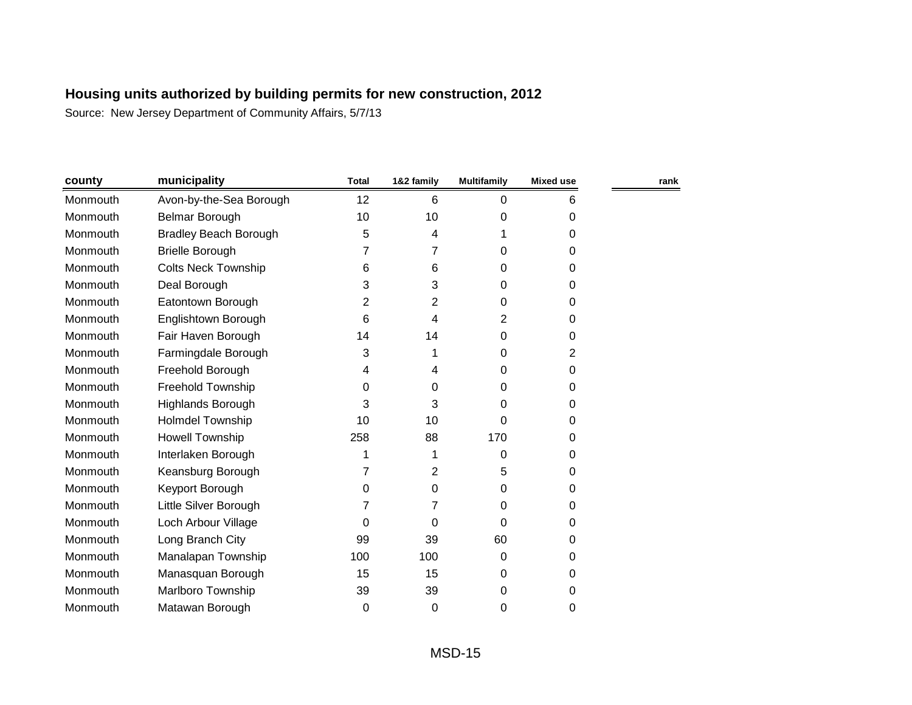| county   | municipality                 | <b>Total</b> | 1&2 family | <b>Multifamily</b> | <b>Mixed use</b> | rank |
|----------|------------------------------|--------------|------------|--------------------|------------------|------|
| Monmouth | Avon-by-the-Sea Borough      | 12           | 6          | 0                  | 6                |      |
| Monmouth | Belmar Borough               | 10           | 10         | 0                  | 0                |      |
| Monmouth | <b>Bradley Beach Borough</b> | 5            | 4          |                    | 0                |      |
| Monmouth | <b>Brielle Borough</b>       | 7            | 7          | 0                  | 0                |      |
| Monmouth | <b>Colts Neck Township</b>   | 6            | 6          | 0                  | 0                |      |
| Monmouth | Deal Borough                 | 3            | 3          | 0                  | 0                |      |
| Monmouth | Eatontown Borough            | 2            | 2          | 0                  | 0                |      |
| Monmouth | Englishtown Borough          | 6            | 4          | 2                  | 0                |      |
| Monmouth | Fair Haven Borough           | 14           | 14         | 0                  | 0                |      |
| Monmouth | Farmingdale Borough          | 3            | 1          | 0                  | 2                |      |
| Monmouth | Freehold Borough             | 4            | 4          | 0                  | 0                |      |
| Monmouth | <b>Freehold Township</b>     | $\Omega$     | 0          | 0                  | 0                |      |
| Monmouth | Highlands Borough            | 3            | 3          | 0                  | 0                |      |
| Monmouth | <b>Holmdel Township</b>      | 10           | 10         | 0                  | 0                |      |
| Monmouth | <b>Howell Township</b>       | 258          | 88         | 170                | 0                |      |
| Monmouth | Interlaken Borough           | 1            | 1          | 0                  | 0                |      |
| Monmouth | Keansburg Borough            | 7            | 2          | 5                  | 0                |      |
| Monmouth | Keyport Borough              | 0            | 0          | 0                  | 0                |      |
| Monmouth | Little Silver Borough        | 7            | 7          | 0                  | 0                |      |
| Monmouth | Loch Arbour Village          | $\Omega$     | 0          | $\mathbf 0$        | 0                |      |
| Monmouth | Long Branch City             | 99           | 39         | 60                 | 0                |      |
| Monmouth | Manalapan Township           | 100          | 100        | 0                  | 0                |      |
| Monmouth | Manasquan Borough            | 15           | 15         | 0                  | 0                |      |
| Monmouth | Marlboro Township            | 39           | 39         | 0                  | 0                |      |
| Monmouth | Matawan Borough              | 0            | 0          | 0                  | 0                |      |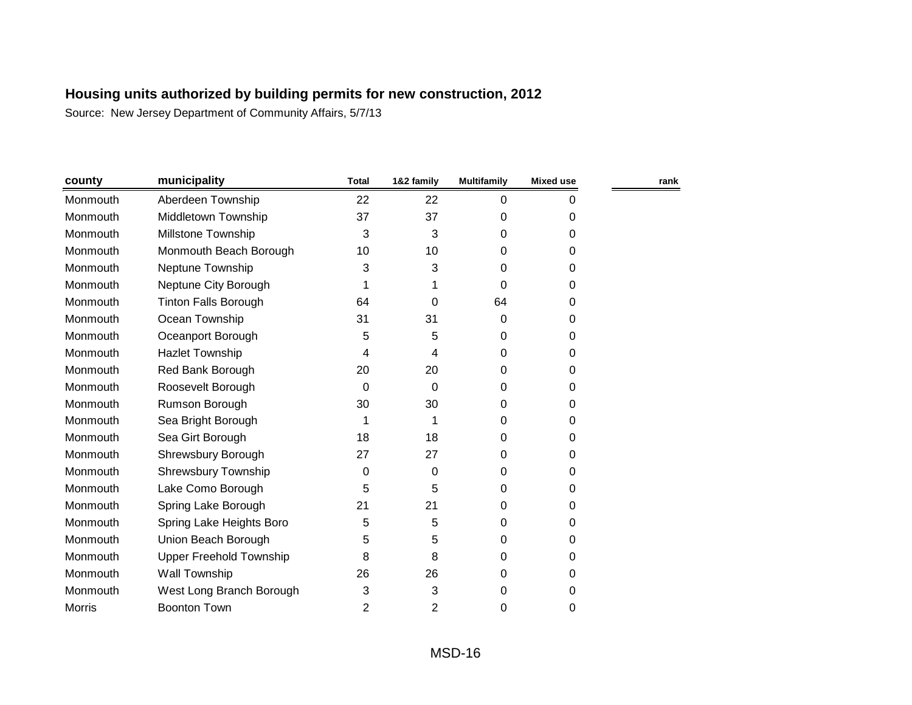| county        | municipality                | <b>Total</b> | 1&2 family | <b>Multifamily</b> | <b>Mixed use</b> | rank |
|---------------|-----------------------------|--------------|------------|--------------------|------------------|------|
| Monmouth      | Aberdeen Township           | 22           | 22         | 0                  | 0                |      |
| Monmouth      | Middletown Township         | 37           | 37         | 0                  | 0                |      |
| Monmouth      | Millstone Township          | 3            | 3          | 0                  | 0                |      |
| Monmouth      | Monmouth Beach Borough      | 10           | 10         | 0                  | 0                |      |
| Monmouth      | Neptune Township            | 3            | 3          | 0                  | 0                |      |
| Monmouth      | Neptune City Borough        |              |            | 0                  | 0                |      |
| Monmouth      | <b>Tinton Falls Borough</b> | 64           | 0          | 64                 | 0                |      |
| Monmouth      | Ocean Township              | 31           | 31         | 0                  | 0                |      |
| Monmouth      | Oceanport Borough           | 5            | 5          | 0                  | 0                |      |
| Monmouth      | <b>Hazlet Township</b>      | 4            | 4          | 0                  | 0                |      |
| Monmouth      | Red Bank Borough            | 20           | 20         | 0                  | 0                |      |
| Monmouth      | Roosevelt Borough           | 0            | $\Omega$   | 0                  | 0                |      |
| Monmouth      | Rumson Borough              | 30           | 30         | 0                  | 0                |      |
| Monmouth      | Sea Bright Borough          |              | 1          | 0                  | 0                |      |
| Monmouth      | Sea Girt Borough            | 18           | 18         | 0                  | 0                |      |
| Monmouth      | Shrewsbury Borough          | 27           | 27         | 0                  | 0                |      |
| Monmouth      | <b>Shrewsbury Township</b>  | 0            | 0          | 0                  | 0                |      |
| Monmouth      | Lake Como Borough           | 5            | 5          | 0                  | 0                |      |
| Monmouth      | Spring Lake Borough         | 21           | 21         | 0                  | 0                |      |
| Monmouth      | Spring Lake Heights Boro    | 5            | 5          | 0                  | 0                |      |
| Monmouth      | Union Beach Borough         | 5            | 5          | 0                  | 0                |      |
| Monmouth      | Upper Freehold Township     | 8            | 8          | 0                  | 0                |      |
| Monmouth      | Wall Township               | 26           | 26         | 0                  | 0                |      |
| Monmouth      | West Long Branch Borough    | 3            | 3          | 0                  | 0                |      |
| <b>Morris</b> | <b>Boonton Town</b>         | 2            | 2          | 0                  | 0                |      |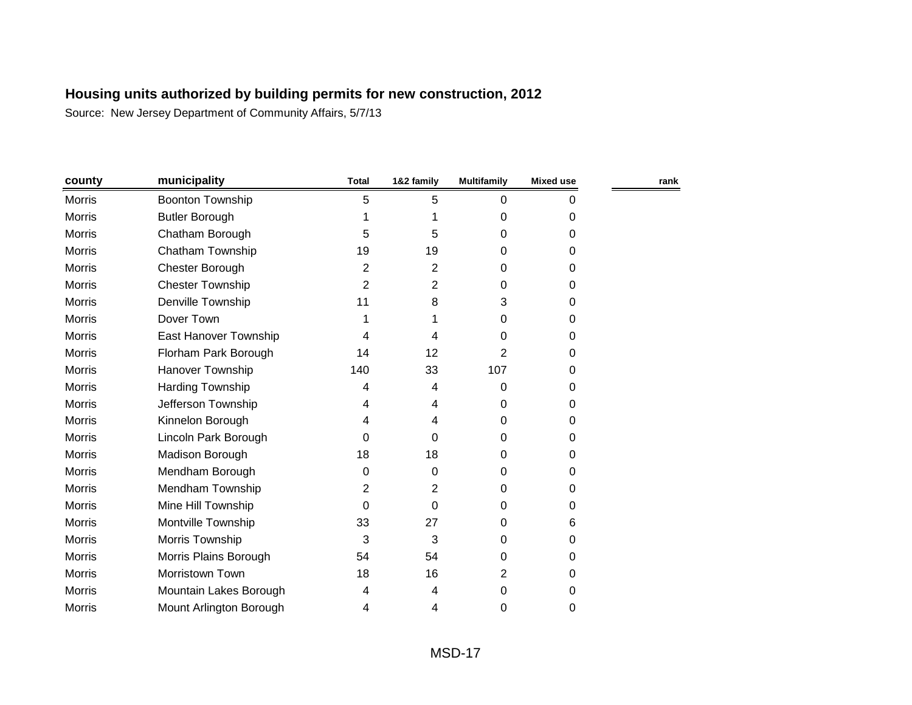| county        | municipality            | <b>Total</b> | 1&2 family | <b>Multifamily</b> | <b>Mixed use</b> | rank |
|---------------|-------------------------|--------------|------------|--------------------|------------------|------|
| <b>Morris</b> | <b>Boonton Township</b> | 5            | 5          | 0                  | 0                |      |
| Morris        | <b>Butler Borough</b>   |              |            | 0                  | 0                |      |
| <b>Morris</b> | Chatham Borough         | 5            | 5          | 0                  | 0                |      |
| <b>Morris</b> | Chatham Township        | 19           | 19         | 0                  | 0                |      |
| Morris        | Chester Borough         | 2            | 2          | 0                  | 0                |      |
| Morris        | <b>Chester Township</b> | 2            | 2          | 0                  | 0                |      |
| <b>Morris</b> | Denville Township       | 11           | 8          | 3                  | 0                |      |
| <b>Morris</b> | Dover Town              |              |            | 0                  | $\Omega$         |      |
| Morris        | East Hanover Township   | 4            | 4          | 0                  | $\Omega$         |      |
| <b>Morris</b> | Florham Park Borough    | 14           | 12         | 2                  | $\Omega$         |      |
| Morris        | Hanover Township        | 140          | 33         | 107                | 0                |      |
| <b>Morris</b> | Harding Township        | 4            | 4          | 0                  | 0                |      |
| Morris        | Jefferson Township      | 4            | 4          | 0                  | 0                |      |
| <b>Morris</b> | Kinnelon Borough        | 4            | 4          | 0                  | 0                |      |
| Morris        | Lincoln Park Borough    | 0            | 0          | 0                  | 0                |      |
| <b>Morris</b> | Madison Borough         | 18           | 18         | 0                  | $\Omega$         |      |
| Morris        | Mendham Borough         | 0            | 0          | 0                  | $\Omega$         |      |
| <b>Morris</b> | Mendham Township        | 2            | 2          | 0                  | $\Omega$         |      |
| Morris        | Mine Hill Township      | 0            | 0          | 0                  | 0                |      |
| Morris        | Montville Township      | 33           | 27         | 0                  | 6                |      |
| Morris        | Morris Township         | 3            | 3          | 0                  | 0                |      |
| <b>Morris</b> | Morris Plains Borough   | 54           | 54         | 0                  | 0                |      |
| Morris        | Morristown Town         | 18           | 16         | 2                  | 0                |      |
| <b>Morris</b> | Mountain Lakes Borough  | 4            | 4          | 0                  | 0                |      |
| <b>Morris</b> | Mount Arlington Borough | 4            | 4          | 0                  | 0                |      |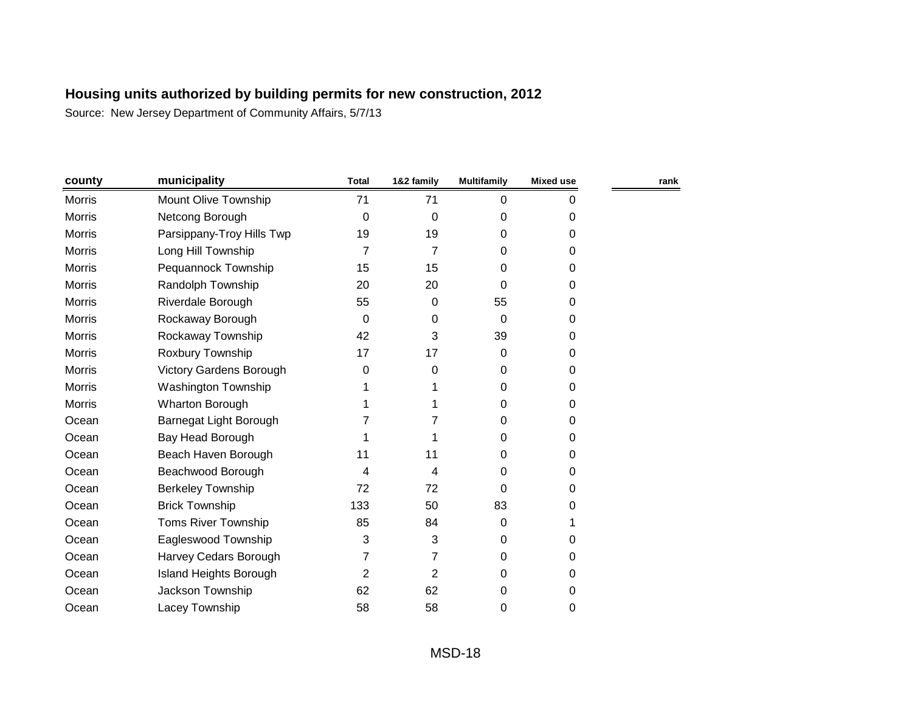| county        | municipality                   | <b>Total</b>   | 1&2 family     | <b>Multifamily</b> | <b>Mixed use</b> | rank |
|---------------|--------------------------------|----------------|----------------|--------------------|------------------|------|
| <b>Morris</b> | Mount Olive Township           | 71             | 71             | 0                  | 0                |      |
| <b>Morris</b> | Netcong Borough                | 0              | 0              | 0                  | 0                |      |
| <b>Morris</b> | Parsippany-Troy Hills Twp      | 19             | 19             | 0                  | 0                |      |
| Morris        | Long Hill Township             | $\overline{7}$ | 7              | 0                  | 0                |      |
| <b>Morris</b> | Pequannock Township            | 15             | 15             | 0                  | 0                |      |
| Morris        | Randolph Township              | 20             | 20             | $\Omega$           | 0                |      |
| <b>Morris</b> | Riverdale Borough              | 55             | 0              | 55                 | 0                |      |
| <b>Morris</b> | Rockaway Borough               | 0              | 0              | 0                  | 0                |      |
| <b>Morris</b> | Rockaway Township              | 42             | 3              | 39                 | 0                |      |
| <b>Morris</b> | Roxbury Township               | 17             | 17             | 0                  | 0                |      |
| <b>Morris</b> | <b>Victory Gardens Borough</b> | 0              | 0              | 0                  | 0                |      |
| <b>Morris</b> | Washington Township            |                |                | 0                  | 0                |      |
| <b>Morris</b> | Wharton Borough                |                |                | 0                  | 0                |      |
| Ocean         | Barnegat Light Borough         | 7              | 7              | 0                  | 0                |      |
| Ocean         | Bay Head Borough               | 1              | 1              | 0                  | 0                |      |
| Ocean         | Beach Haven Borough            | 11             | 11             | 0                  | 0                |      |
| Ocean         | Beachwood Borough              | 4              | 4              | 0                  | 0                |      |
| Ocean         | <b>Berkeley Township</b>       | 72             | 72             | $\Omega$           | 0                |      |
| Ocean         | <b>Brick Township</b>          | 133            | 50             | 83                 | 0                |      |
| Ocean         | <b>Toms River Township</b>     | 85             | 84             | 0                  |                  |      |
| Ocean         | Eagleswood Township            | 3              | 3              | 0                  | 0                |      |
| Ocean         | Harvey Cedars Borough          | 7              | 7              | 0                  | 0                |      |
| Ocean         | <b>Island Heights Borough</b>  | 2              | $\overline{2}$ | 0                  | 0                |      |
| Ocean         | Jackson Township               | 62             | 62             | 0                  | 0                |      |
| Ocean         | Lacey Township                 | 58             | 58             | 0                  | 0                |      |
|               |                                |                |                |                    |                  |      |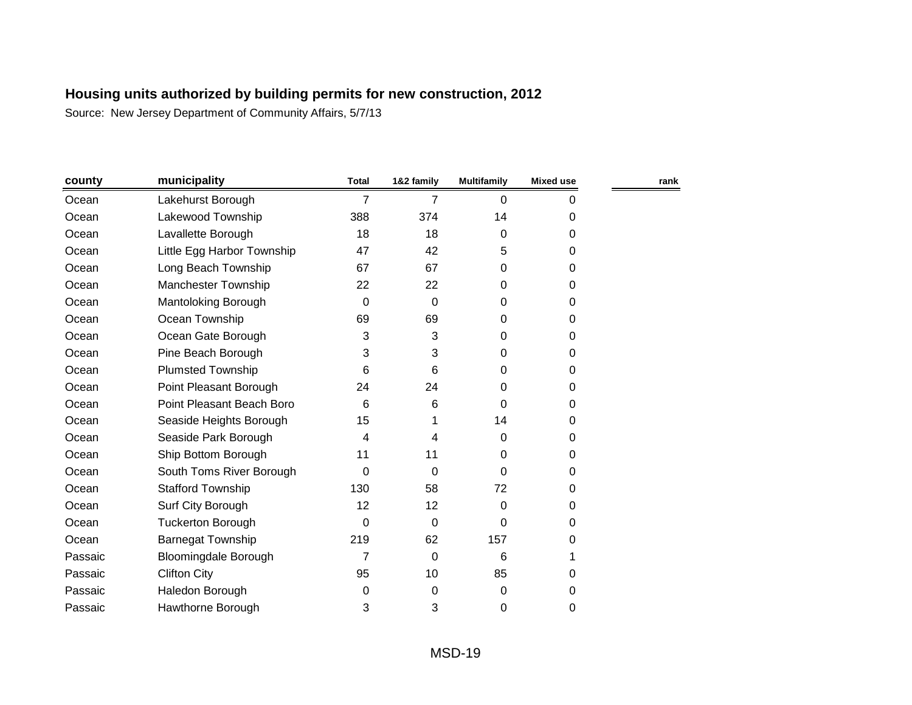| county  | municipality                | <b>Total</b>    | 1&2 family | <b>Multifamily</b> | Mixed use   | rank |
|---------|-----------------------------|-----------------|------------|--------------------|-------------|------|
| Ocean   | Lakehurst Borough           | 7               | 7          | $\Omega$           | 0           |      |
| Ocean   | Lakewood Township           | 388             | 374        | 14                 | 0           |      |
| Ocean   | Lavallette Borough          | 18              | 18         | $\Omega$           | 0           |      |
| Ocean   | Little Egg Harbor Township  | 47              | 42         | 5                  | 0           |      |
| Ocean   | Long Beach Township         | 67              | 67         | $\Omega$           | 0           |      |
| Ocean   | Manchester Township         | 22              | 22         | $\Omega$           | $\Omega$    |      |
| Ocean   | Mantoloking Borough         | 0               | 0          | $\Omega$           | 0           |      |
| Ocean   | Ocean Township              | 69              | 69         | $\Omega$           | 0           |      |
| Ocean   | Ocean Gate Borough          | 3               | 3          | 0                  | 0           |      |
| Ocean   | Pine Beach Borough          | 3               | 3          | 0                  | 0           |      |
| Ocean   | <b>Plumsted Township</b>    | 6               | 6          | $\Omega$           | 0           |      |
| Ocean   | Point Pleasant Borough      | 24              | 24         | 0                  | 0           |      |
| Ocean   | Point Pleasant Beach Boro   | $6\phantom{1}6$ | 6          | 0                  | 0           |      |
| Ocean   | Seaside Heights Borough     | 15              |            | 14                 | 0           |      |
| Ocean   | Seaside Park Borough        | 4               | 4          | $\mathbf 0$        | $\mathbf 0$ |      |
| Ocean   | Ship Bottom Borough         | 11              | 11         | 0                  | 0           |      |
| Ocean   | South Toms River Borough    | 0               | $\Omega$   | $\Omega$           | 0           |      |
| Ocean   | <b>Stafford Township</b>    | 130             | 58         | 72                 | 0           |      |
| Ocean   | Surf City Borough           | 12              | 12         | 0                  | 0           |      |
| Ocean   | <b>Tuckerton Borough</b>    | $\Omega$        | 0          | 0                  | 0           |      |
| Ocean   | Barnegat Township           | 219             | 62         | 157                | 0           |      |
| Passaic | <b>Bloomingdale Borough</b> | $\overline{7}$  | 0          | 6                  |             |      |
| Passaic | <b>Clifton City</b>         | 95              | 10         | 85                 | 0           |      |
| Passaic | Haledon Borough             | 0               | 0          | 0                  | 0           |      |
| Passaic | Hawthorne Borough           | 3               | 3          | 0                  | 0           |      |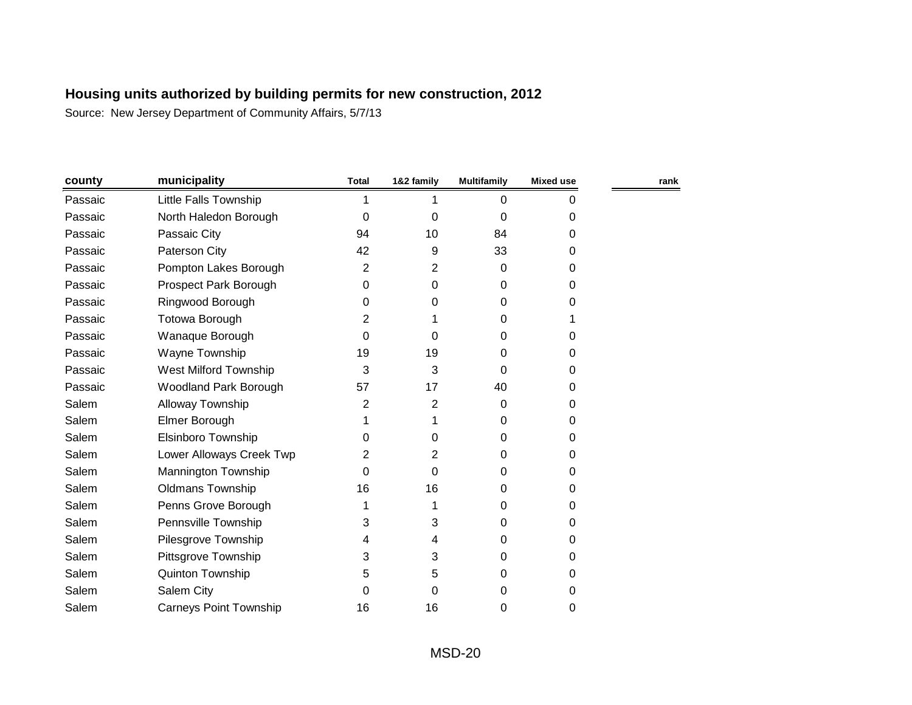| county  | municipality                  | <b>Total</b>   | 1&2 family     | <b>Multifamily</b> | <b>Mixed use</b> | rank |
|---------|-------------------------------|----------------|----------------|--------------------|------------------|------|
| Passaic | Little Falls Township         | 1              |                | $\Omega$           | 0                |      |
| Passaic | North Haledon Borough         | $\Omega$       | 0              | 0                  | 0                |      |
| Passaic | Passaic City                  | 94             | 10             | 84                 | 0                |      |
| Passaic | Paterson City                 | 42             | 9              | 33                 | $\Omega$         |      |
| Passaic | Pompton Lakes Borough         | $\overline{2}$ | $\overline{2}$ | 0                  | 0                |      |
| Passaic | Prospect Park Borough         | 0              | 0              | 0                  | 0                |      |
| Passaic | Ringwood Borough              | 0              | 0              | $\Omega$           | 0                |      |
| Passaic | Totowa Borough                | 2              |                | $\Omega$           |                  |      |
| Passaic | Wanaque Borough               | 0              | 0              | 0                  | 0                |      |
| Passaic | Wayne Township                | 19             | 19             | 0                  | 0                |      |
| Passaic | <b>West Milford Township</b>  | 3              | 3              | 0                  | 0                |      |
| Passaic | <b>Woodland Park Borough</b>  | 57             | 17             | 40                 | 0                |      |
| Salem   | Alloway Township              | 2              | 2              | 0                  | 0                |      |
| Salem   | Elmer Borough                 |                | 1              | 0                  | 0                |      |
| Salem   | Elsinboro Township            | 0              | 0              | 0                  | 0                |      |
| Salem   | Lower Alloways Creek Twp      | 2              | 2              | 0                  | 0                |      |
| Salem   | <b>Mannington Township</b>    | 0              | 0              | 0                  | 0                |      |
| Salem   | <b>Oldmans Township</b>       | 16             | 16             | 0                  | $\Omega$         |      |
| Salem   | Penns Grove Borough           |                |                | 0                  | 0                |      |
| Salem   | Pennsville Township           | 3              | 3              | 0                  | 0                |      |
| Salem   | Pilesgrove Township           | 4              | 4              | 0                  | 0                |      |
| Salem   | Pittsgrove Township           | 3              | 3              | $\Omega$           | 0                |      |
| Salem   | Quinton Township              | 5              | 5              | $\Omega$           | 0                |      |
| Salem   | Salem City                    | 0              | 0              | 0                  | 0                |      |
| Salem   | <b>Carneys Point Township</b> | 16             | 16             | 0                  | 0                |      |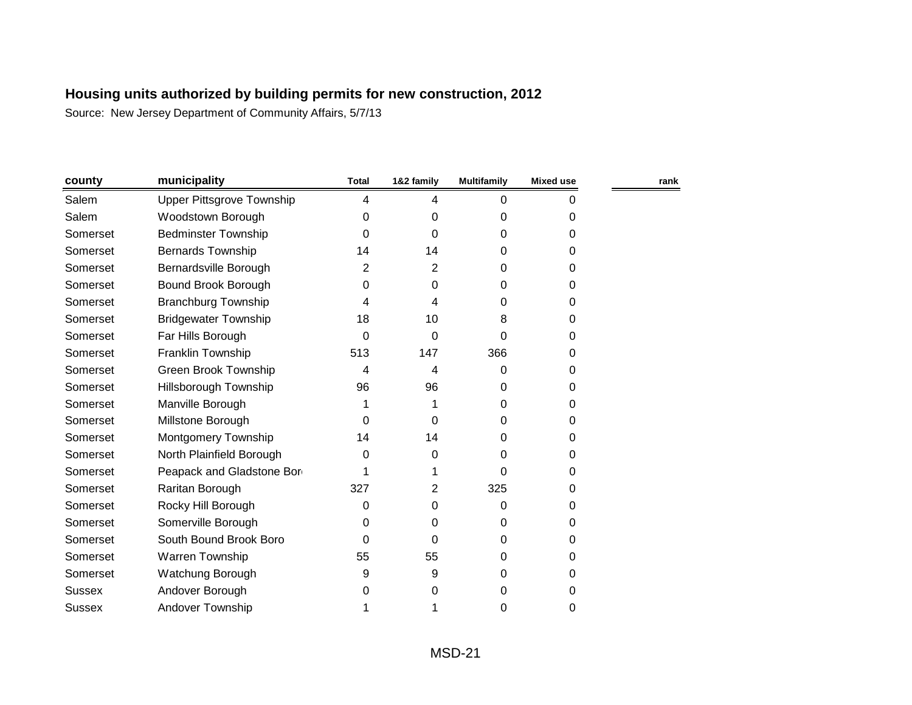| county        | municipality                     | <b>Total</b> | 1&2 family | <b>Multifamily</b> | Mixed use | rank |
|---------------|----------------------------------|--------------|------------|--------------------|-----------|------|
| Salem         | <b>Upper Pittsgrove Township</b> | 4            | 4          | $\Omega$           | 0         |      |
| Salem         | Woodstown Borough                | 0            | 0          | 0                  | 0         |      |
| Somerset      | <b>Bedminster Township</b>       | 0            | 0          | 0                  | 0         |      |
| Somerset      | <b>Bernards Township</b>         | 14           | 14         | 0                  | 0         |      |
| Somerset      | Bernardsville Borough            | 2            | 2          | 0                  | 0         |      |
| Somerset      | Bound Brook Borough              | 0            | 0          | 0                  | 0         |      |
| Somerset      | <b>Branchburg Township</b>       | 4            | 4          | 0                  | 0         |      |
| Somerset      | <b>Bridgewater Township</b>      | 18           | 10         | 8                  | 0         |      |
| Somerset      | Far Hills Borough                | 0            | 0          | $\Omega$           | 0         |      |
| Somerset      | Franklin Township                | 513          | 147        | 366                | 0         |      |
| Somerset      | Green Brook Township             | 4            | 4          | 0                  | 0         |      |
| Somerset      | <b>Hillsborough Township</b>     | 96           | 96         | 0                  | 0         |      |
| Somerset      | Manville Borough                 |              |            | 0                  | 0         |      |
| Somerset      | Millstone Borough                | 0            | 0          | 0                  | 0         |      |
| Somerset      | Montgomery Township              | 14           | 14         | 0                  | 0         |      |
| Somerset      | North Plainfield Borough         | 0            | 0          | 0                  | 0         |      |
| Somerset      | Peapack and Gladstone Bor        |              | 1          | $\Omega$           | 0         |      |
| Somerset      | Raritan Borough                  | 327          | 2          | 325                | 0         |      |
| Somerset      | Rocky Hill Borough               | $\Omega$     | 0          | 0                  | 0         |      |
| Somerset      | Somerville Borough               | 0            | 0          | 0                  | 0         |      |
| Somerset      | South Bound Brook Boro           | 0            | 0          | 0                  | 0         |      |
| Somerset      | Warren Township                  | 55           | 55         | 0                  | 0         |      |
| Somerset      | Watchung Borough                 | 9            | 9          | 0                  | 0         |      |
| <b>Sussex</b> | Andover Borough                  | 0            | 0          | 0                  | 0         |      |
| <b>Sussex</b> | <b>Andover Township</b>          |              |            | 0                  | 0         |      |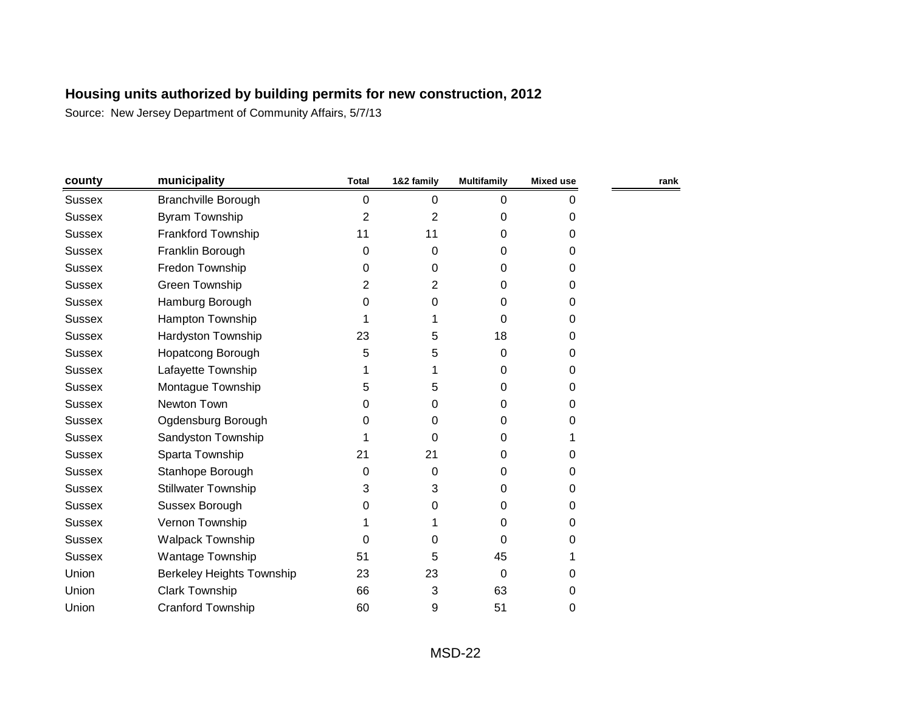| county        | municipality                     | <b>Total</b> | 1&2 family | <b>Multifamily</b> | <b>Mixed use</b> | rank |
|---------------|----------------------------------|--------------|------------|--------------------|------------------|------|
| <b>Sussex</b> | <b>Branchville Borough</b>       | 0            | 0          | 0                  | 0                |      |
| <b>Sussex</b> | Byram Township                   | 2            | 2          | 0                  | 0                |      |
| <b>Sussex</b> | Frankford Township               | 11           | 11         | 0                  | 0                |      |
| <b>Sussex</b> | Franklin Borough                 | $\Omega$     | $\Omega$   | 0                  | $\Omega$         |      |
| <b>Sussex</b> | Fredon Township                  | 0            | 0          | 0                  | 0                |      |
| <b>Sussex</b> | Green Township                   | 2            | 2          | 0                  | 0                |      |
| <b>Sussex</b> | Hamburg Borough                  | 0            | 0          | 0                  | 0                |      |
| <b>Sussex</b> | Hampton Township                 |              |            | 0                  | 0                |      |
| <b>Sussex</b> | Hardyston Township               | 23           | 5          | 18                 | 0                |      |
| <b>Sussex</b> | Hopatcong Borough                | 5            | 5          | 0                  | 0                |      |
| <b>Sussex</b> | Lafayette Township               |              |            | 0                  | 0                |      |
| <b>Sussex</b> | Montague Township                | 5            | 5          | 0                  | 0                |      |
| <b>Sussex</b> | Newton Town                      | 0            | 0          | 0                  | $\Omega$         |      |
| <b>Sussex</b> | Ogdensburg Borough               | 0            | 0          | 0                  | 0                |      |
| <b>Sussex</b> | Sandyston Township               |              | $\Omega$   | 0                  |                  |      |
| <b>Sussex</b> | Sparta Township                  | 21           | 21         | 0                  | 0                |      |
| <b>Sussex</b> | Stanhope Borough                 | 0            | 0          | 0                  | 0                |      |
| <b>Sussex</b> | <b>Stillwater Township</b>       | 3            | 3          | 0                  | 0                |      |
| <b>Sussex</b> | Sussex Borough                   | 0            | 0          | 0                  | 0                |      |
| <b>Sussex</b> | Vernon Township                  |              |            | 0                  | 0                |      |
| <b>Sussex</b> | <b>Walpack Township</b>          | 0            | 0          | 0                  | 0                |      |
| <b>Sussex</b> | Wantage Township                 | 51           | 5          | 45                 |                  |      |
| Union         | <b>Berkeley Heights Township</b> | 23           | 23         | 0                  | 0                |      |
| Union         | Clark Township                   | 66           | 3          | 63                 | 0                |      |
| Union         | <b>Cranford Township</b>         | 60           | 9          | 51                 | 0                |      |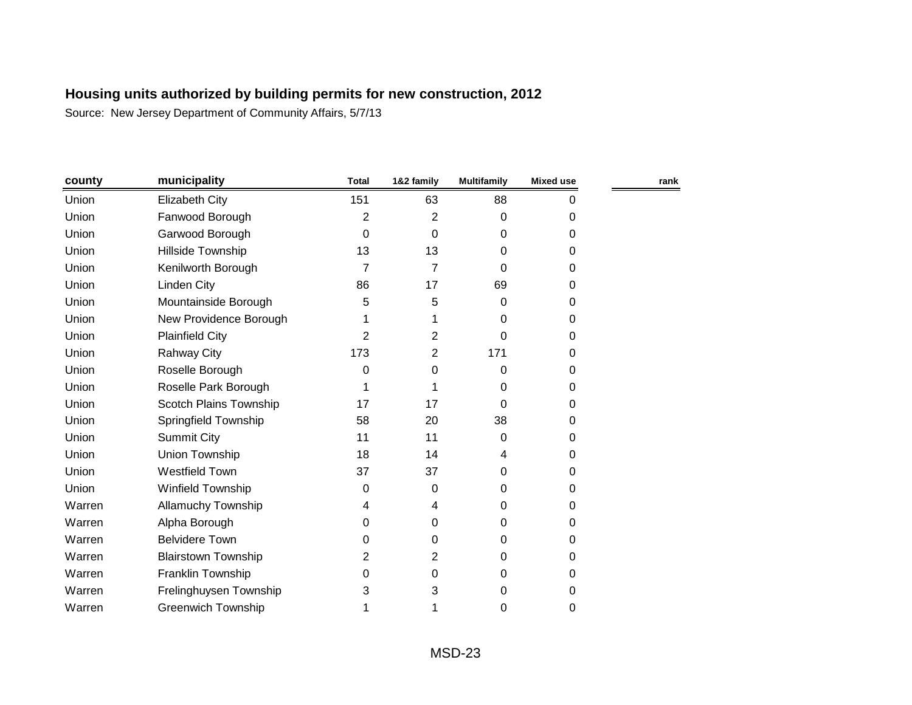| county | municipality               | <b>Total</b> | 1&2 family | <b>Multifamily</b> | <b>Mixed use</b> | rank |
|--------|----------------------------|--------------|------------|--------------------|------------------|------|
| Union  | <b>Elizabeth City</b>      | 151          | 63         | 88                 | 0                |      |
| Union  | Fanwood Borough            | 2            | 2          | 0                  | 0                |      |
| Union  | Garwood Borough            | $\Omega$     | $\Omega$   | 0                  | $\Omega$         |      |
| Union  | Hillside Township          | 13           | 13         | 0                  | $\Omega$         |      |
| Union  | Kenilworth Borough         | 7            | 7          | 0                  | 0                |      |
| Union  | Linden City                | 86           | 17         | 69                 | 0                |      |
| Union  | Mountainside Borough       | 5            | 5          | 0                  | 0                |      |
| Union  | New Providence Borough     |              |            | 0                  | $\Omega$         |      |
| Union  | <b>Plainfield City</b>     | 2            | 2          | 0                  | 0                |      |
| Union  | Rahway City                | 173          | 2          | 171                | 0                |      |
| Union  | Roselle Borough            | 0            | 0          | 0                  | 0                |      |
| Union  | Roselle Park Borough       |              |            | 0                  | 0                |      |
| Union  | Scotch Plains Township     | 17           | 17         | 0                  | 0                |      |
| Union  | Springfield Township       | 58           | 20         | 38                 | 0                |      |
| Union  | <b>Summit City</b>         | 11           | 11         | 0                  | 0                |      |
| Union  | Union Township             | 18           | 14         | 4                  | 0                |      |
| Union  | <b>Westfield Town</b>      | 37           | 37         | 0                  | 0                |      |
| Union  | <b>Winfield Township</b>   | 0            | 0          | 0                  | 0                |      |
| Warren | <b>Allamuchy Township</b>  | 4            | 4          | 0                  | 0                |      |
| Warren | Alpha Borough              | 0            | 0          | 0                  | 0                |      |
| Warren | <b>Belvidere Town</b>      | 0            | 0          | 0                  | 0                |      |
| Warren | <b>Blairstown Township</b> | 2            | 2          | 0                  | $\Omega$         |      |
| Warren | Franklin Township          | 0            | 0          | 0                  | 0                |      |
| Warren | Frelinghuysen Township     | 3            | 3          | 0                  | 0                |      |
| Warren | <b>Greenwich Township</b>  |              |            | 0                  | 0                |      |